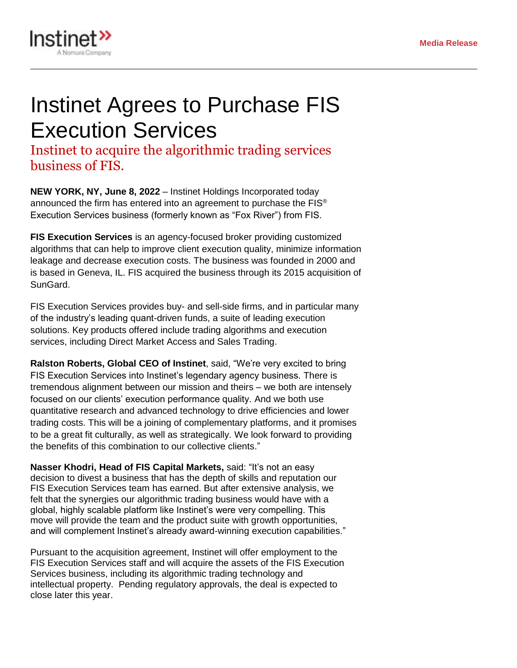

## Instinet Agrees to Purchase FIS Execution Services

Instinet to acquire the algorithmic trading services business of FIS.

**NEW YORK, NY, June 8, 2022** – Instinet Holdings Incorporated today announced the firm has entered into an agreement to purchase the FIS® Execution Services business (formerly known as "Fox River") from FIS.

**FIS Execution Services** is an agency-focused broker providing customized algorithms that can help to improve client execution quality, minimize information leakage and decrease execution costs. The business was founded in 2000 and is based in Geneva, IL. FIS acquired the business through its 2015 acquisition of SunGard.

FIS Execution Services provides buy- and sell-side firms, and in particular many of the industry's leading quant-driven funds, a suite of leading execution solutions. Key products offered include trading algorithms and execution services, including Direct Market Access and Sales Trading.

**Ralston Roberts, Global CEO of Instinet**, said, "We're very excited to bring FIS Execution Services into Instinet's legendary agency business. There is tremendous alignment between our mission and theirs – we both are intensely focused on our clients' execution performance quality. And we both use quantitative research and advanced technology to drive efficiencies and lower trading costs. This will be a joining of complementary platforms, and it promises to be a great fit culturally, as well as strategically. We look forward to providing the benefits of this combination to our collective clients."

**Nasser Khodri, Head of FIS Capital Markets,** said: "It's not an easy decision to divest a business that has the depth of skills and reputation our FIS Execution Services team has earned. But after extensive analysis, we felt that the synergies our algorithmic trading business would have with a global, highly scalable platform like Instinet's were very compelling. This move will provide the team and the product suite with growth opportunities, and will complement Instinet's already award-winning execution capabilities."

Pursuant to the acquisition agreement, Instinet will offer employment to the FIS Execution Services staff and will acquire the assets of the FIS Execution Services business, including its algorithmic trading technology and intellectual property. Pending regulatory approvals, the deal is expected to close later this year.